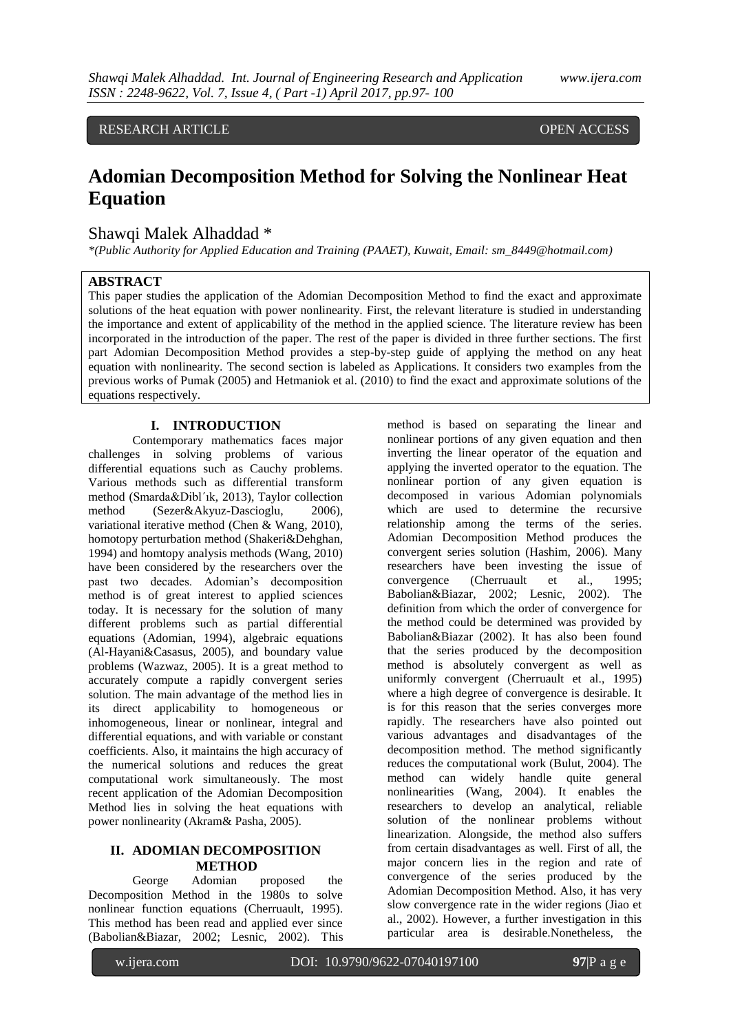RESEARCH ARTICLE OPEN ACCESS

# **Adomian Decomposition Method for Solving the Nonlinear Heat Equation**

## Shawqi Malek Alhaddad \*

*\*(Public Authority for Applied Education and Training (PAAET), Kuwait, Email: sm\_8449@hotmail.com)*

### **ABSTRACT**

This paper studies the application of the Adomian Decomposition Method to find the exact and approximate solutions of the heat equation with power nonlinearity. First, the relevant literature is studied in understanding the importance and extent of applicability of the method in the applied science. The literature review has been incorporated in the introduction of the paper. The rest of the paper is divided in three further sections. The first part Adomian Decomposition Method provides a step-by-step guide of applying the method on any heat equation with nonlinearity. The second section is labeled as Applications. It considers two examples from the previous works of Pumak (2005) and Hetmaniok et al. (2010) to find the exact and approximate solutions of the equations respectively.

### **I. INTRODUCTION**

Contemporary mathematics faces major challenges in solving problems of various differential equations such as Cauchy problems. Various methods such as differential transform method (Smarda&Dibl´ık, 2013), Taylor collection method (Sezer&Akyuz-Dascioglu, 2006), variational iterative method (Chen & Wang, 2010), homotopy perturbation method (Shakeri&Dehghan, 1994) and homtopy analysis methods (Wang, 2010) have been considered by the researchers over the past two decades. Adomian's decomposition method is of great interest to applied sciences today. It is necessary for the solution of many different problems such as partial differential equations (Adomian, 1994), algebraic equations (Al-Hayani&Casasus, 2005), and boundary value problems (Wazwaz, 2005). It is a great method to accurately compute a rapidly convergent series solution. The main advantage of the method lies in its direct applicability to homogeneous or inhomogeneous, linear or nonlinear, integral and differential equations, and with variable or constant coefficients. Also, it maintains the high accuracy of the numerical solutions and reduces the great computational work simultaneously. The most recent application of the Adomian Decomposition Method lies in solving the heat equations with power nonlinearity (Akram& Pasha, 2005).

## **II. ADOMIAN DECOMPOSITION METHOD**

George Adomian proposed the Decomposition Method in the 1980s to solve nonlinear function equations (Cherruault, 1995). This method has been read and applied ever since (Babolian&Biazar, 2002; Lesnic, 2002). This

method is based on separating the linear and nonlinear portions of any given equation and then inverting the linear operator of the equation and applying the inverted operator to the equation. The nonlinear portion of any given equation is decomposed in various Adomian polynomials which are used to determine the recursive relationship among the terms of the series. Adomian Decomposition Method produces the convergent series solution (Hashim, 2006). Many researchers have been investing the issue of convergence (Cherruault et al., 1995; Babolian&Biazar, 2002; Lesnic, 2002). The definition from which the order of convergence for the method could be determined was provided by Babolian&Biazar (2002). It has also been found that the series produced by the decomposition method is absolutely convergent as well as uniformly convergent (Cherruault et al., 1995) where a high degree of convergence is desirable. It is for this reason that the series converges more rapidly. The researchers have also pointed out various advantages and disadvantages of the decomposition method. The method significantly reduces the computational work (Bulut, 2004). The method can widely handle quite general nonlinearities (Wang, 2004). It enables the researchers to develop an analytical, reliable solution of the nonlinear problems without linearization. Alongside, the method also suffers from certain disadvantages as well. First of all, the major concern lies in the region and rate of convergence of the series produced by the Adomian Decomposition Method. Also, it has very slow convergence rate in the wider regions (Jiao et al., 2002). However, a further investigation in this particular area is desirable.Nonetheless, the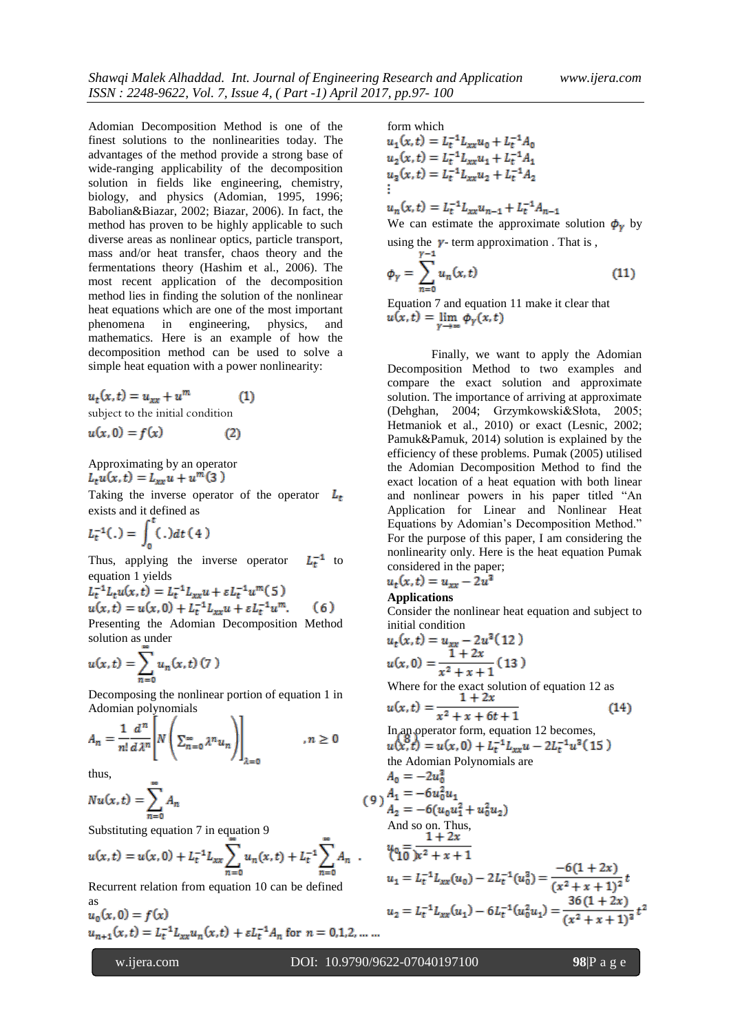Adomian Decomposition Method is one of the finest solutions to the nonlinearities today. The advantages of the method provide a strong base of wide-ranging applicability of the decomposition solution in fields like engineering, chemistry, biology, and physics (Adomian, 1995, 1996; Babolian&Biazar, 2002; Biazar, 2006). In fact, the method has proven to be highly applicable to such diverse areas as nonlinear optics, particle transport, mass and/or heat transfer, chaos theory and the fermentations theory (Hashim et al., 2006). The most recent application of the decomposition method lies in finding the solution of the nonlinear heat equations which are one of the most important phenomena in engineering, physics, and mathematics. Here is an example of how the decomposition method can be used to solve a simple heat equation with a power nonlinearity:

$$
u_t(x,t) = u_{xx} + u^m \tag{1}
$$

subject to the initial condition

$$
u(x,0) = f(x) \tag{2}
$$

Approximating by an operator<br> $L_t u(x, t) = L_{xx} u + u^m(3)$ 

Taking the inverse operator of the operator  $L_t$ exists and it defined as

$$
L_t^{-1}(.) = \int_0^t (.) dt (4)
$$

Thus, applying the inverse operator  $L_{\tau}^{-1}$  to equation 1 yields

$$
L_t^{-1}L_t u(x, t) = L_t^{-1}L_{xx}u + \varepsilon L_t^{-1}u^m(5)
$$
  
 
$$
u(x, t) = u(x, 0) + L_t^{-1}L_{xx}u + \varepsilon L_t^{-1}u^m.
$$
 (6)

Presenting the Adomian Decomposition Method solution as under

$$
u(x,t) = \sum_{n=0}^{\infty} u_n(x,t) (7)
$$

Decomposing the nonlinear portion of equation 1 in Adomian polynomials

$$
A_n = \frac{1}{n!} \frac{d^n}{d\lambda^n} \left[ N \left( \sum_{n=0}^{\infty} \lambda^n u_n \right) \right]_{\lambda=0} \qquad n \ge 0
$$

thus,

as

 $Nu(x,t) = \sum_{n=1}^{\infty} A_n$ 

Substituting equation 7 in equation 9

$$
u(x,t) = u(x,0) + L_t^{-1} L_{xx} \sum_{n=0}^{\infty} u_n(x,t) + L_t^{-1} \sum_{n=0}^{\infty} A_n
$$

Recurrent relation from equation 10 can be defined

$$
u_0(x, 0) = f(x)
$$
  

$$
u_{n+1}(x, t) = L_t^{-1} L_{xx} u_n(x, t) + \varepsilon L_t^{-1} A_n \text{ for } n = 0, 1, 2, ...
$$

form which<br> $u_1(x, t) = L_t^{-1} L_{xx} u_0 + L_t^{-1} A_0$  $u_2(x,t) = L_t^{-1} L_{xx} u_1 + L_t^{-1} A_1$ <br> $u_3(x,t) = L_t^{-1} L_{xx} u_2 + L_t^{-1} A_2$  $u_n(x,t) = L_t^{-1}L_{xx}u_{n-1} + L_t^{-1}A_{n-1}$ 

We can estimate the approximate solution  $\phi_{\gamma}$  by using the  $\gamma$ - term approximation. That is,

$$
\phi_{\gamma} = \sum_{n=0}^{\gamma - 1} u_n(x, t) \tag{11}
$$

Equation 7 and equation 11 make it clear that  $u(x,t) = \lim_{v \to \infty} \phi_{\gamma}(x,t)$ 

Finally, we want to apply the Adomian Decomposition Method to two examples and compare the exact solution and approximate solution. The importance of arriving at approximate (Dehghan, 2004; Grzymkowski&Słota, 2005; Hetmaniok et al., 2010) or exact (Lesnic, 2002; Pamuk&Pamuk, 2014) solution is explained by the efficiency of these problems. Pumak (2005) utilised the Adomian Decomposition Method to find the exact location of a heat equation with both linear and nonlinear powers in his paper titled "An Application for Linear and Nonlinear Heat Equations by Adomian's Decomposition Method." For the purpose of this paper, I am considering the nonlinearity only. Here is the heat equation Pumak considered in the paper;

$$
u_t(x,t) = u_{xx} - 2u^3
$$

**Applications**

Consider the nonlinear heat equation and subject to initial condition

$$
u_t(x,t) = u_{xx} - 2u^2(12)
$$
  
\n
$$
u(x,0) = \frac{1+2x}{x^2+x+1}(13)
$$
  
\nWhere for the exact solution of equation 12 as  
\n
$$
u(x,t) = \frac{1+2x}{x^2+x+6t+1}
$$
(14)  
\nIn an operator form, equation 12 becomes,  
\n
$$
u(x,t) = u(x,0) + L_t^{-1}L_{xx}u - 2L_t^{-1}u^2(15)
$$
  
\nthe Adomain Polynomials are  
\n
$$
A_0 = -2u_0^2
$$
  
\n(9)  $A_1 = -6u_0^2u_1$   
\n
$$
A_2 = -6(u_0u_1^2 + u_0^2u_2)
$$
  
\nAnd so on. Thus,  
\n
$$
u_0 = \frac{1+2x}{x^2+x+1}
$$
  
\n
$$
u_1 = L_t^{-1}L_{xx}(u_0) - 2L_t^{-1}(u_0^2) = \frac{-6(1+2x)}{(x^2+x+1)^2}t
$$
  
\n
$$
u_2 = L_t^{-1}L_{xx}(u_1) - 6L_t^{-1}(u_0^2u_1) = \frac{36(1+2x)}{(x^2+x+1)^2}t^2
$$
  
\n...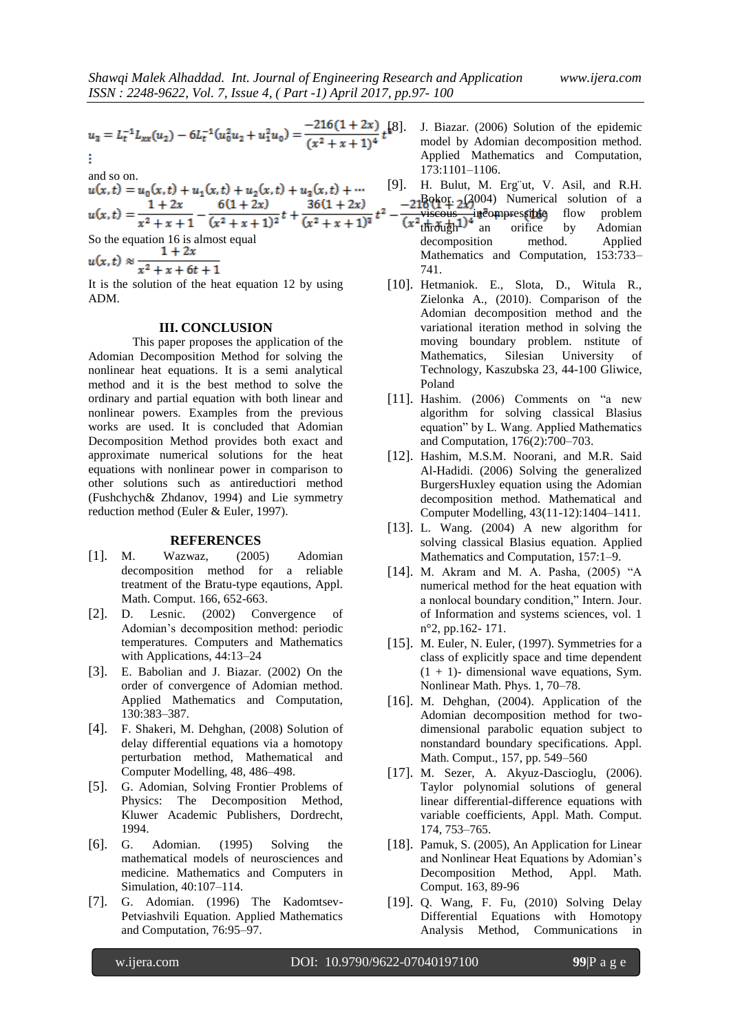$$
u_3 = L_t^{-1} L_{xx}(u_2) - 6L_t^{-1}(u_0^2 u_2 + u_1^2 u_0) = \frac{-216(1+2x)}{(x^2+x+1)^4} t^{8}
$$
  
:

and so on.

and so on:  
\n
$$
u(x, t) = u_0(x, t) + u_1(x, t) + u_2(x, t) + u_3(x, t) + \cdots
$$
\n
$$
u(x, t) = \frac{1 + 2x}{x^2 + x + 1} - \frac{6(1 + 2x)}{(x^2 + x + 1)^2}t + \frac{36(1 + 2x)}{(x^2 + x + 1)^3}t^2
$$
\nSo the equation 16 is almost equal  
\n
$$
u(x, t) \approx \frac{1 + 2x}{x^2 + x + 6t + 1}
$$

It is the solution of the heat equation 12 by using ADM.

#### **III. CONCLUSION**

This paper proposes the application of the Adomian Decomposition Method for solving the nonlinear heat equations. It is a semi analytical method and it is the best method to solve the ordinary and partial equation with both linear and nonlinear powers. Examples from the previous works are used. It is concluded that Adomian Decomposition Method provides both exact and approximate numerical solutions for the heat equations with nonlinear power in comparison to other solutions such as antireductiori method (Fushchych& Zhdanov, 1994) and Lie symmetry reduction method (Euler & Euler, 1997).

#### **REFERENCES**

- [1]. M. Wazwaz, (2005) Adomian decomposition method for a reliable treatment of the Bratu-type eqautions, Appl. Math. Comput. 166, 652-663.
- [2]. D. Lesnic. (2002) Convergence of Adomian's decomposition method: periodic temperatures. Computers and Mathematics with Applications, 44:13–24
- [3]. E. Babolian and J. Biazar. (2002) On the order of convergence of Adomian method. Applied Mathematics and Computation, 130:383–387.
- [4]. F. Shakeri, M. Dehghan, (2008) Solution of delay differential equations via a homotopy perturbation method, Mathematical and Computer Modelling, 48, 486–498.
- [5]. G. Adomian, Solving Frontier Problems of Physics: The Decomposition Method, Kluwer Academic Publishers, Dordrecht, 1994.
- [6]. G. Adomian. (1995) Solving the mathematical models of neurosciences and medicine. Mathematics and Computers in Simulation, 40:107–114.
- [7]. G. Adomian. (1996) The Kadomtsev-Petviashvili Equation. Applied Mathematics and Computation, 76:95–97.
- [8]. J. Biazar. (2006) Solution of the epidemic model by Adomian decomposition method. Applied Mathematics and Computation, 173:1101–1106.
- [9]. H. Bulut, M. Erg¨ut, V. Asil, and R.H.  $-2180k^2 + 243004$ ) Numerical solution of a
- viscous incompressible flow problem through<sup>1</sup> an orifice by Adomian decomposition method. Applied Mathematics and Computation, 153:733– 741.
- [10]. Hetmaniok. E., Slota, D., Witula R., Zielonka A., (2010). Comparison of the Adomian decomposition method and the variational iteration method in solving the moving boundary problem. nstitute of Mathematics, Silesian University of Technology, Kaszubska 23, 44-100 Gliwice, Poland
- [11]. Hashim. (2006) Comments on "a new algorithm for solving classical Blasius equation" by L. Wang. Applied Mathematics and Computation, 176(2):700–703.
- [12]. Hashim, M.S.M. Noorani, and M.R. Said Al-Hadidi. (2006) Solving the generalized BurgersHuxley equation using the Adomian decomposition method. Mathematical and Computer Modelling, 43(11-12):1404–1411.
- [13]. L. Wang. (2004) A new algorithm for solving classical Blasius equation. Applied Mathematics and Computation, 157:1–9.
- [14]. M. Akram and M. A. Pasha, (2005) "A numerical method for the heat equation with a nonlocal boundary condition," Intern. Jour. of Information and systems sciences, vol. 1 n°2, pp.162- 171.
- [15]. M. Euler, N. Euler, (1997). Symmetries for a class of explicitly space and time dependent  $(1 + 1)$ - dimensional wave equations, Sym. Nonlinear Math. Phys. 1, 70–78.
- [16]. M. Dehghan, (2004). Application of the Adomian decomposition method for twodimensional parabolic equation subject to nonstandard boundary specifications. Appl. Math. Comput., 157, pp. 549–560
- [17]. M. Sezer, A. Akyuz-Dascioglu, (2006). Taylor polynomial solutions of general linear differential-difference equations with variable coefficients, Appl. Math. Comput. 174, 753–765.
- [18]. Pamuk, S. (2005), An Application for Linear and Nonlinear Heat Equations by Adomian's Decomposition Method, Appl. Math. Comput. 163, 89-96
- [19]. Q. Wang, F. Fu, (2010) Solving Delay Differential Equations with Homotopy Analysis Method, Communications in